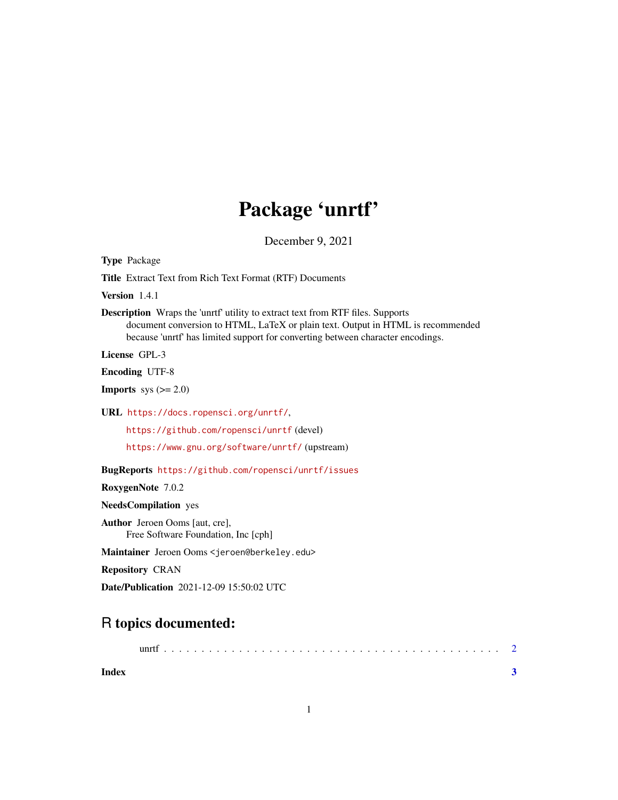## Package 'unrtf'

December 9, 2021

Type Package

Title Extract Text from Rich Text Format (RTF) Documents

Version 1.4.1

Description Wraps the 'unrtf' utility to extract text from RTF files. Supports document conversion to HTML, LaTeX or plain text. Output in HTML is recommended because 'unrtf' has limited support for converting between character encodings.

License GPL-3

Encoding UTF-8

**Imports** sys  $(>= 2.0)$ 

URL <https://docs.ropensci.org/unrtf/>,

<https://github.com/ropensci/unrtf> (devel)

<https://www.gnu.org/software/unrtf/> (upstream)

BugReports <https://github.com/ropensci/unrtf/issues>

RoxygenNote 7.0.2

NeedsCompilation yes

Author Jeroen Ooms [aut, cre], Free Software Foundation, Inc [cph]

Maintainer Jeroen Ooms <jeroen@berkeley.edu>

Repository CRAN

Date/Publication 2021-12-09 15:50:02 UTC

### R topics documented:

|       | uni |  |  |  |  |  |  |  |  |  |  |  |  |
|-------|-----|--|--|--|--|--|--|--|--|--|--|--|--|
| Index |     |  |  |  |  |  |  |  |  |  |  |  |  |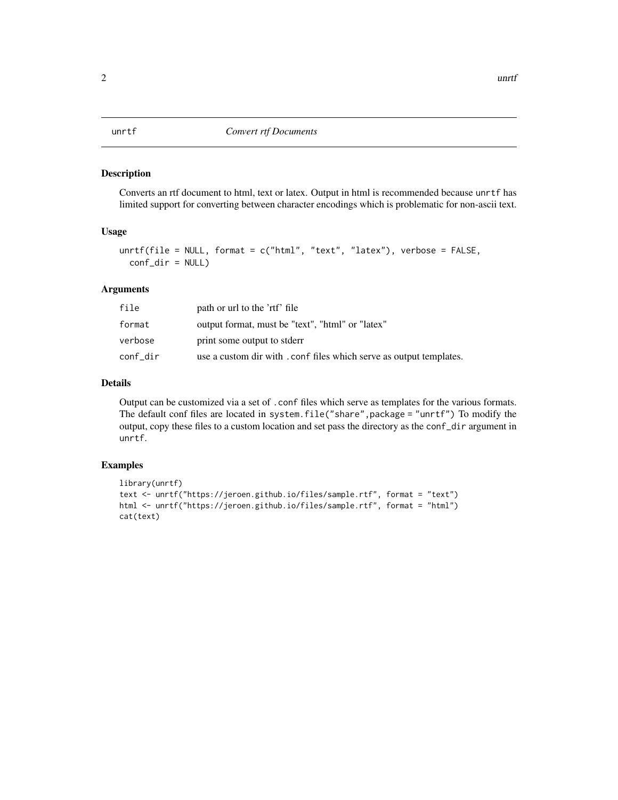#### <span id="page-1-0"></span>Description

Converts an rtf document to html, text or latex. Output in html is recommended because unrtf has limited support for converting between character encodings which is problematic for non-ascii text.

#### Usage

```
unrtf(file = NULL, format = c("html", "text", "latex"), verbose = FALSE,
  conf_dir = NULL)
```
#### Arguments

| file     | path or url to the 'rtf' file                                       |
|----------|---------------------------------------------------------------------|
| format   | output format, must be "text", "html" or "latex"                    |
| verbose  | print some output to stder                                          |
| conf dir | use a custom dir with . conf files which serve as output templates. |

#### Details

Output can be customized via a set of .conf files which serve as templates for the various formats. The default conf files are located in system.file("share",package = "unrtf") To modify the output, copy these files to a custom location and set pass the directory as the conf\_dir argument in unrtf.

#### Examples

```
library(unrtf)
text <- unrtf("https://jeroen.github.io/files/sample.rtf", format = "text")
html <- unrtf("https://jeroen.github.io/files/sample.rtf", format = "html")
cat(text)
```